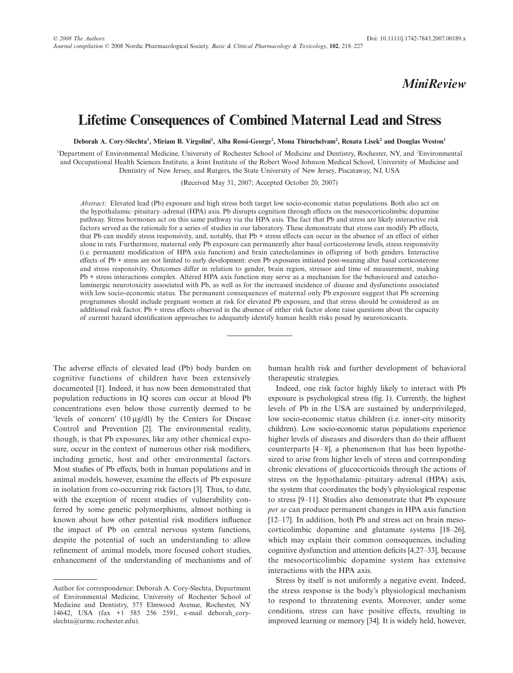## $MiniReview$

# **Lifetime Consequences of Combined Maternal Lead and Stress**

Deborah A. Cory-Slechta<sup>1</sup>, Miriam B. Virgolini<sup>2</sup>, Alba Rossi-George<sup>2</sup>, Mona Thiruchelvam<sup>2</sup>, Renata Lisek<sup>2</sup> and Douglas Weston<sup>1</sup>

<sup>1</sup>Department of Environmental Medicine, University of Rochester School of Medicine and Dentistry, Rochester, NY, and <sup>2</sup>Environmental and Occupational Health Sciences Institute, a Joint Institute of the Robert Wood Johnson Medical School, University of Medicine and Dentistry of New Jersey, and Rutgers, the State University of New Jersey, Piscataway, NJ, USA

(Received May 31, 2007; Accepted October 20, 2007)

*Abstract:* Elevated lead (Pb) exposure and high stress both target low socio-economic status populations. Both also act on the hypothalamic–pituitary–adrenal (HPA) axis. Pb disrupts cognition through effects on the mesocorticolimbic dopamine pathway. Stress hormones act on this same pathway via the HPA axis. The fact that Pb and stress are likely interactive risk factors served as the rationale for a series of studies in our laboratory. These demonstrate that stress can modify Pb effects, that Pb can modify stress responsivity, and, notably, that Pb + stress effects can occur in the absence of an effect of either alone in rats. Furthermore, maternal only Pb exposure can permanently alter basal corticosterone levels, stress responsivity (i.e. permanent modification of HPA axis function) and brain catecholamines in offspring of both genders. Interactive effects of Pb + stress are not limited to early development: even Pb exposures initiated post-weaning alter basal corticosterone and stress responsivity. Outcomes differ in relation to gender, brain region, stressor and time of measurement, making Pb + stress interactions complex. Altered HPA axis function may serve as a mechanism for the behavioural and catecholaminergic neurotoxicity associated with Pb, as well as for the increased incidence of disease and dysfunctions associated with low socio-economic status. The permanent consequences of maternal only Pb exposure suggest that Pb screening programmes should include pregnant women at risk for elevated Pb exposure, and that stress should be considered as an additional risk factor. Pb + stress effects observed in the absence of either risk factor alone raise questions about the capacity of current hazard identification approaches to adequately identify human health risks posed by neurotoxicants.

The adverse effects of elevated lead (Pb) body burden on cognitive functions of children have been extensively documented [1]. Indeed, it has now been demonstrated that population reductions in IQ scores can occur at blood Pb concentrations even below those currently deemed to be 'levels of concern' (10 µg/dl) by the Centers for Disease Control and Prevention [2]. The environmental reality, though, is that Pb exposures, like any other chemical exposure, occur in the context of numerous other risk modifiers, including genetic, host and other environmental factors. Most studies of Pb effects, both in human populations and in animal models, however, examine the effects of Pb exposure in isolation from co-occurring risk factors [3]. Thus, to date, with the exception of recent studies of vulnerability conferred by some genetic polymorphisms, almost nothing is known about how other potential risk modifiers influence the impact of Pb on central nervous system functions, despite the potential of such an understanding to allow refinement of animal models, more focused cohort studies, enhancement of the understanding of mechanisms and of

Author for correspondence: Deborah A. Cory-Slechta, Department of Environmental Medicine, University of Rochester School of Medicine and Dentistry, 575 Elmwood Avenue, Rochester, NY 14642, USA (fax +1 585 256 2591, e-mail deborah\_coryslechta@urmc.rochester.edu).

human health risk and further development of behavioral therapeutic strategies.

Indeed, one risk factor highly likely to interact with Pb exposure is psychological stress (fig. 1). Currently, the highest levels of Pb in the USA are sustained by underprivileged, low socio-economic status children (i.e. inner-city minority children). Low socio-economic status populations experience higher levels of diseases and disorders than do their affluent counterparts [4–8], a phenomenon that has been hypothesized to arise from higher levels of stress and corresponding chronic elevations of glucocorticoids through the actions of stress on the hypothalamic–pituitary–adrenal (HPA) axis, the system that coordinates the body's physiological response to stress [9–11]. Studies also demonstrate that Pb exposure *per se* can produce permanent changes in HPA axis function [12–17]. In addition, both Pb and stress act on brain mesocorticolimbic dopamine and glutamate systems [18–26], which may explain their common consequences, including cognitive dysfunction and attention deficits [4,27–33], because the mesocorticolimbic dopamine system has extensive interactions with the HPA axis.

Stress by itself is not uniformly a negative event. Indeed, the stress response is the body's physiological mechanism to respond to threatening events. Moreover, under some conditions, stress can have positive effects, resulting in improved learning or memory [34]. It is widely held, however,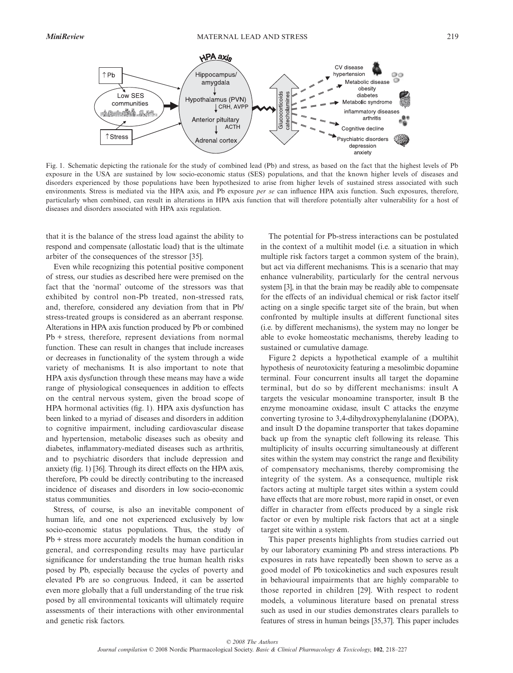

Fig. 1. Schematic depicting the rationale for the study of combined lead (Pb) and stress, as based on the fact that the highest levels of Pb exposure in the USA are sustained by low socio-economic status (SES) populations, and that the known higher levels of diseases and disorders experienced by those populations have been hypothesized to arise from higher levels of sustained stress associated with such environments. Stress is mediated via the HPA axis, and Pb exposure *per se* can influence HPA axis function. Such exposures, therefore, particularly when combined, can result in alterations in HPA axis function that will therefore potentially alter vulnerability for a host of diseases and disorders associated with HPA axis regulation.

that it is the balance of the stress load against the ability to respond and compensate (allostatic load) that is the ultimate arbiter of the consequences of the stressor [35].

Even while recognizing this potential positive component of stress, our studies as described here were premised on the fact that the 'normal' outcome of the stressors was that exhibited by control non-Pb treated, non-stressed rats, and, therefore, considered any deviation from that in Pb/ stress-treated groups is considered as an aberrant response. Alterations in HPA axis function produced by Pb or combined Pb + stress, therefore, represent deviations from normal function. These can result in changes that include increases or decreases in functionality of the system through a wide variety of mechanisms. It is also important to note that HPA axis dysfunction through these means may have a wide range of physiological consequences in addition to effects on the central nervous system, given the broad scope of HPA hormonal activities (fig. 1). HPA axis dysfunction has been linked to a myriad of diseases and disorders in addition to cognitive impairment, including cardiovascular disease and hypertension, metabolic diseases such as obesity and diabetes, inflammatory-mediated diseases such as arthritis, and to psychiatric disorders that include depression and anxiety (fig. 1) [36]. Through its direct effects on the HPA axis, therefore, Pb could be directly contributing to the increased incidence of diseases and disorders in low socio-economic status communities.

Stress, of course, is also an inevitable component of human life, and one not experienced exclusively by low socio-economic status populations. Thus, the study of Pb + stress more accurately models the human condition in general, and corresponding results may have particular significance for understanding the true human health risks posed by Pb, especially because the cycles of poverty and elevated Pb are so congruous. Indeed, it can be asserted even more globally that a full understanding of the true risk posed by all environmental toxicants will ultimately require assessments of their interactions with other environmental and genetic risk factors.

The potential for Pb-stress interactions can be postulated in the context of a multihit model (i.e. a situation in which multiple risk factors target a common system of the brain), but act via different mechanisms. This is a scenario that may enhance vulnerability, particularly for the central nervous system [3], in that the brain may be readily able to compensate for the effects of an individual chemical or risk factor itself acting on a single specific target site of the brain, but when confronted by multiple insults at different functional sites (i.e. by different mechanisms), the system may no longer be able to evoke homeostatic mechanisms, thereby leading to sustained or cumulative damage.

Figure 2 depicts a hypothetical example of a multihit hypothesis of neurotoxicity featuring a mesolimbic dopamine terminal. Four concurrent insults all target the dopamine terminal, but do so by different mechanisms: insult A targets the vesicular monoamine transporter, insult B the enzyme monoamine oxidase, insult C attacks the enzyme converting tyrosine to 3,4-dihydroxyphenylalanine (DOPA), and insult D the dopamine transporter that takes dopamine back up from the synaptic cleft following its release. This multiplicity of insults occurring simultaneously at different sites within the system may constrict the range and flexibility of compensatory mechanisms, thereby compromising the integrity of the system. As a consequence, multiple risk factors acting at multiple target sites within a system could have effects that are more robust, more rapid in onset, or even differ in character from effects produced by a single risk factor or even by multiple risk factors that act at a single target site within a system.

This paper presents highlights from studies carried out by our laboratory examining Pb and stress interactions. Pb exposures in rats have repeatedly been shown to serve as a good model of Pb toxicokinetics and such exposures result in behavioural impairments that are highly comparable to those reported in children [29]. With respect to rodent models, a voluminous literature based on prenatal stress such as used in our studies demonstrates clears parallels to features of stress in human beings [35,37]. This paper includes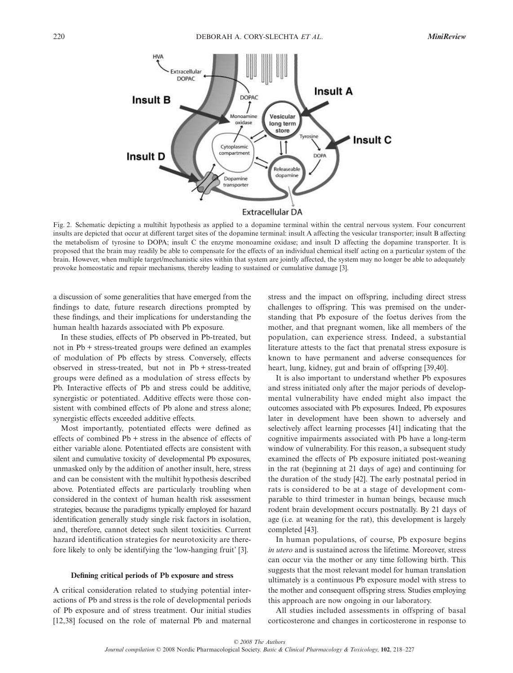

Fig. 2. Schematic depicting a multihit hypothesis as applied to a dopamine terminal within the central nervous system. Four concurrent insults are depicted that occur at different target sites of the dopamine terminal: insult A affecting the vesicular transporter; insult B affecting the metabolism of tyrosine to DOPA; insult C the enzyme monoamine oxidase; and insult D affecting the dopamine transporter. It is proposed that the brain may readily be able to compensate for the effects of an individual chemical itself acting on a particular system of the brain. However, when multiple target/mechanistic sites within that system are jointly affected, the system may no longer be able to adequately provoke homeostatic and repair mechanisms, thereby leading to sustained or cumulative damage [3].

a discussion of some generalities that have emerged from the findings to date, future research directions prompted by these findings, and their implications for understanding the human health hazards associated with Pb exposure.

In these studies, effects of Pb observed in Pb-treated, but not in Pb + stress-treated groups were defined an examples of modulation of Pb effects by stress. Conversely, effects observed in stress-treated, but not in Pb + stress-treated groups were defined as a modulation of stress effects by Pb. Interactive effects of Pb and stress could be additive, synergistic or potentiated. Additive effects were those consistent with combined effects of Pb alone and stress alone; synergistic effects exceeded additive effects.

Most importantly, potentiated effects were defined as effects of combined Pb + stress in the absence of effects of either variable alone. Potentiated effects are consistent with silent and cumulative toxicity of developmental Pb exposures, unmasked only by the addition of another insult, here, stress and can be consistent with the multihit hypothesis described above. Potentiated effects are particularly troubling when considered in the context of human health risk assessment strategies, because the paradigms typically employed for hazard identification generally study single risk factors in isolation, and, therefore, cannot detect such silent toxicities. Current hazard identification strategies for neurotoxicity are therefore likely to only be identifying the 'low-hanging fruit' [3].

#### **Defining critical periods of Pb exposure and stress**

A critical consideration related to studying potential interactions of Pb and stress is the role of developmental periods of Pb exposure and of stress treatment. Our initial studies [12,38] focused on the role of maternal Pb and maternal stress and the impact on offspring, including direct stress challenges to offspring. This was premised on the understanding that Pb exposure of the foetus derives from the mother, and that pregnant women, like all members of the population, can experience stress. Indeed, a substantial literature attests to the fact that prenatal stress exposure is known to have permanent and adverse consequences for heart, lung, kidney, gut and brain of offspring [39,40].

It is also important to understand whether Pb exposures and stress initiated only after the major periods of developmental vulnerability have ended might also impact the outcomes associated with Pb exposures. Indeed, Pb exposures later in development have been shown to adversely and selectively affect learning processes [41] indicating that the cognitive impairments associated with Pb have a long-term window of vulnerability. For this reason, a subsequent study examined the effects of Pb exposure initiated post-weaning in the rat (beginning at 21 days of age) and continuing for the duration of the study [42]. The early postnatal period in rats is considered to be at a stage of development comparable to third trimester in human beings, because much rodent brain development occurs postnatally. By 21 days of age (i.e. at weaning for the rat), this development is largely completed [43].

In human populations, of course, Pb exposure begins *in utero* and is sustained across the lifetime. Moreover, stress can occur via the mother or any time following birth. This suggests that the most relevant model for human translation ultimately is a continuous Pb exposure model with stress to the mother and consequent offspring stress. Studies employing this approach are now ongoing in our laboratory.

All studies included assessments in offspring of basal corticosterone and changes in corticosterone in response to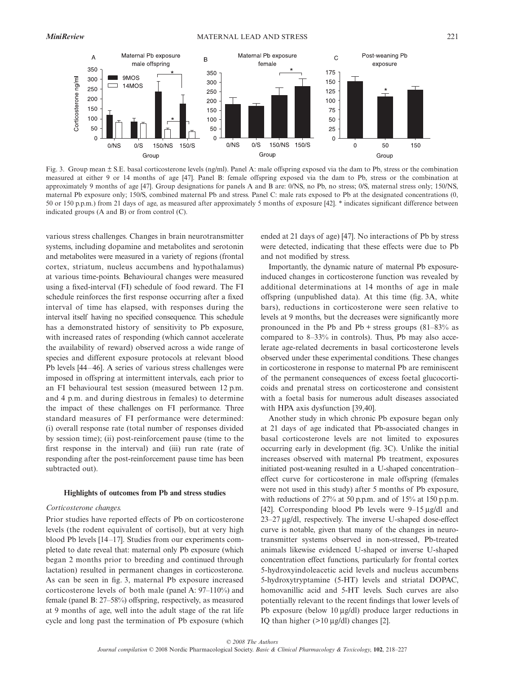

Fig. 3. Group mean ± S.E. basal corticosterone levels (ng/ml). Panel A: male offspring exposed via the dam to Pb, stress or the combination measured at either 9 or 14 months of age [47]. Panel B: female offspring exposed via the dam to Pb, stress or the combination at approximately 9 months of age [47]. Group designations for panels A and B are: 0/NS, no Pb, no stress; 0/S, maternal stress only; 150/NS, maternal Pb exposure only; 150/S, combined maternal Pb and stress. Panel C: male rats exposed to Pb at the designated concentrations (0, 50 or 150 p.p.m.) from 21 days of age, as measured after approximately 5 months of exposure [42]. \* indicates significant difference between indicated groups (A and B) or from control (C).

various stress challenges. Changes in brain neurotransmitter systems, including dopamine and metabolites and serotonin and metabolites were measured in a variety of regions (frontal cortex, striatum, nucleus accumbens and hypothalamus) at various time-points. Behavioural changes were measured using a fixed-interval (FI) schedule of food reward. The FI schedule reinforces the first response occurring after a fixed interval of time has elapsed, with responses during the interval itself having no specified consequence. This schedule has a demonstrated history of sensitivity to Pb exposure, with increased rates of responding (which cannot accelerate the availability of reward) observed across a wide range of species and different exposure protocols at relevant blood Pb levels [44–46]. A series of various stress challenges were imposed in offspring at intermittent intervals, each prior to an FI behavioural test session (measured between 12 p.m. and 4 p.m. and during diestrous in females) to determine the impact of these challenges on FI performance. Three standard measures of FI performance were determined: (i) overall response rate (total number of responses divided by session time); (ii) post-reinforcement pause (time to the first response in the interval) and (iii) run rate (rate of responding after the post-reinforcement pause time has been subtracted out).

#### **Highlights of outcomes from Pb and stress studies**

#### *Corticosterone changes.*

Prior studies have reported effects of Pb on corticosterone levels (the rodent equivalent of cortisol), but at very high blood Pb levels [14–17]. Studies from our experiments completed to date reveal that: maternal only Pb exposure (which began 2 months prior to breeding and continued through lactation) resulted in permanent changes in corticosterone. As can be seen in fig. 3, maternal Pb exposure increased corticosterone levels of both male (panel A: 97–110%) and female (panel B: 27–58%) offspring, respectively, as measured at 9 months of age, well into the adult stage of the rat life cycle and long past the termination of Pb exposure (which ended at 21 days of age) [47]. No interactions of Pb by stress were detected, indicating that these effects were due to Pb and not modified by stress.

Importantly, the dynamic nature of maternal Pb exposureinduced changes in corticosterone function was revealed by additional determinations at 14 months of age in male offspring (unpublished data). At this time (fig. 3A, white bars), reductions in corticosterone were seen relative to levels at 9 months, but the decreases were significantly more pronounced in the Pb and Pb + stress groups  $(81–83\%$  as compared to 8–33% in controls). Thus, Pb may also accelerate age-related decrements in basal corticosterone levels observed under these experimental conditions. These changes in corticosterone in response to maternal Pb are reminiscent of the permanent consequences of excess foetal glucocorticoids and prenatal stress on corticosterone and consistent with a foetal basis for numerous adult diseases associated with HPA axis dysfunction [39,40].

Another study in which chronic Pb exposure began only at 21 days of age indicated that Pb-associated changes in basal corticosterone levels are not limited to exposures occurring early in development (fig. 3C). Unlike the initial increases observed with maternal Pb treatment, exposures initiated post-weaning resulted in a U-shaped concentration– effect curve for corticosterone in male offspring (females were not used in this study) after 5 months of Pb exposure, with reductions of 27% at 50 p.p.m. and of 15% at 150 p.p.m. [42]. Corresponding blood Pb levels were 9–15 µg/dl and 23–27 µg/dl, respectively. The inverse U-shaped dose-effect curve is notable, given that many of the changes in neurotransmitter systems observed in non-stressed, Pb-treated animals likewise evidenced U-shaped or inverse U-shaped concentration effect functions, particularly for frontal cortex 5-hydroxyindoleacetic acid levels and nucleus accumbens 5-hydroxytryptamine (5-HT) levels and striatal DOPAC, homovanillic acid and 5-HT levels. Such curves are also potentially relevant to the recent findings that lower levels of Pb exposure (below 10  $\mu$ g/dl) produce larger reductions in IQ than higher (>10 µg/dl) changes [2].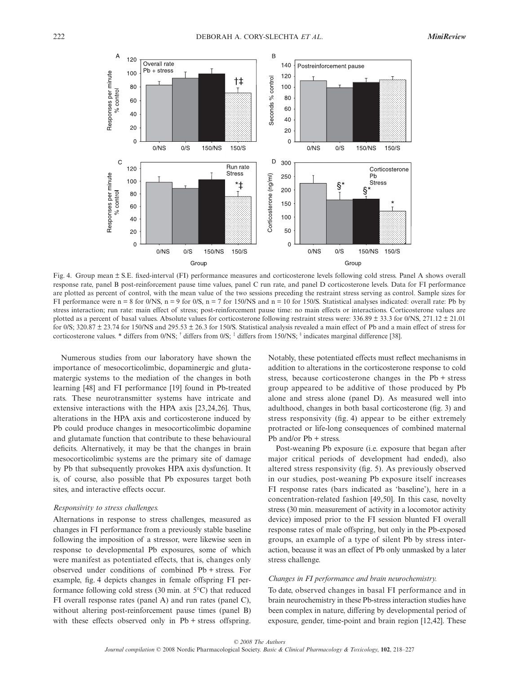

Fig. 4. Group mean ± S.E. fixed-interval (FI) performance measures and corticosterone levels following cold stress. Panel A shows overall response rate, panel B post-reinforcement pause time values, panel C run rate, and panel D corticosterone levels. Data for FI performance are plotted as percent of control, with the mean value of the two sessions preceding the restraint stress serving as control. Sample sizes for FI performance were  $n = 8$  for 0/NS,  $n = 9$  for 0/S,  $n = 7$  for 150/NS and  $n = 10$  for 150/S. Statistical analyses indicated: overall rate: Pb by stress interaction; run rate: main effect of stress; post-reinforcement pause time: no main effects or interactions. Corticosterone values are plotted as a percent of basal values. Absolute values for corticosterone following restraint stress were: 336.89 ± 33.3 for 0/NS, 271.12 ± 21.01 for 0/S; 320.87 ± 23.74 for 150/NS and 295.53 ± 26.3 for 150/S. Statistical analysis revealed a main effect of Pb and a main effect of stress for corticosterone values. \* differs from  $0/NS$ ;  $\dagger$  differs from  $0/S$ ;  $\dagger$  differs from 150/NS;  $\dagger$  indicates marginal difference [38].

Numerous studies from our laboratory have shown the importance of mesocorticolimbic, dopaminergic and glutamatergic systems to the mediation of the changes in both learning [48] and FI performance [19] found in Pb-treated rats. These neurotransmitter systems have intricate and extensive interactions with the HPA axis [23,24,26]. Thus, alterations in the HPA axis and corticosterone induced by Pb could produce changes in mesocorticolimbic dopamine and glutamate function that contribute to these behavioural deficits. Alternatively, it may be that the changes in brain mesocorticolimbic systems are the primary site of damage by Pb that subsequently provokes HPA axis dysfunction. It is, of course, also possible that Pb exposures target both sites, and interactive effects occur.

#### *Responsivity to stress challenges.*

Alternations in response to stress challenges, measured as changes in FI performance from a previously stable baseline following the imposition of a stressor, were likewise seen in response to developmental Pb exposures, some of which were manifest as potentiated effects, that is, changes only observed under conditions of combined Pb + stress. For example, fig. 4 depicts changes in female offspring FI performance following cold stress (30 min. at 5°C) that reduced FI overall response rates (panel A) and run rates (panel C), without altering post-reinforcement pause times (panel B) with these effects observed only in Pb + stress offspring.

Notably, these potentiated effects must reflect mechanisms in addition to alterations in the corticosterone response to cold stress, because corticosterone changes in the Pb + stress group appeared to be additive of those produced by Pb alone and stress alone (panel D). As measured well into adulthood, changes in both basal corticosterone (fig. 3) and stress responsivity (fig. 4) appear to be either extremely protracted or life-long consequences of combined maternal Pb and/or Pb + stress.

Post-weaning Pb exposure (i.e. exposure that began after major critical periods of development had ended), also altered stress responsivity (fig. 5). As previously observed in our studies, post-weaning Pb exposure itself increases FI response rates (bars indicated as 'baseline'), here in a concentration-related fashion [49,50]. In this case, novelty stress (30 min. measurement of activity in a locomotor activity device) imposed prior to the FI session blunted FI overall response rates of male offspring, but only in the Pb-exposed groups, an example of a type of silent Pb by stress interaction, because it was an effect of Pb only unmasked by a later stress challenge.

## *Changes in FI performance and brain neurochemistry.*

To date, observed changes in basal FI performance and in brain neurochemistry in these Pb-stress interaction studies have been complex in nature, differing by developmental period of exposure, gender, time-point and brain region [12,42]. These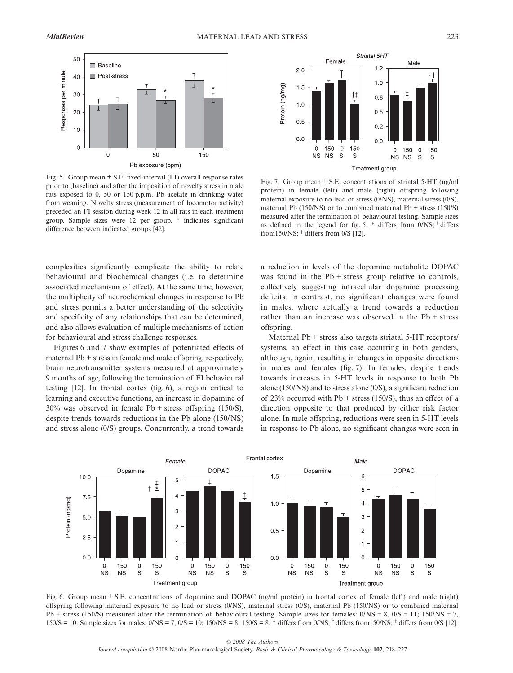

Fig. 5. Group mean  $\pm$  S.E. fixed-interval (FI) overall response rates prior to (baseline) and after the imposition of novelty stress in male rats exposed to 0, 50 or 150 p.p.m. Pb acetate in drinking water from weaning. Novelty stress (measurement of locomotor activity) preceded an FI session during week 12 in all rats in each treatment group. Sample sizes were 12 per group. \* indicates significant difference between indicated groups [42].

complexities significantly complicate the ability to relate behavioural and biochemical changes (i.e. to determine associated mechanisms of effect). At the same time, however, the multiplicity of neurochemical changes in response to Pb and stress permits a better understanding of the selectivity and specificity of any relationships that can be determined, and also allows evaluation of multiple mechanisms of action for behavioural and stress challenge responses.

Figures 6 and 7 show examples of potentiated effects of maternal Pb + stress in female and male offspring, respectively, brain neurotransmitter systems measured at approximately 9 months of age, following the termination of FI behavioural testing [12]. In frontal cortex (fig. 6), a region critical to learning and executive functions, an increase in dopamine of 30% was observed in female Pb + stress offspring (150/S), despite trends towards reductions in the Pb alone (150/NS) and stress alone (0/S) groups. Concurrently, a trend towards



Fig. 7. Group mean ± S.E. concentrations of striatal 5-HT (ng/ml protein) in female (left) and male (right) offspring following maternal exposure to no lead or stress (0/NS), maternal stress (0/S), maternal Pb (150/NS) or to combined maternal Pb + stress (150/S) measured after the termination of behavioural testing. Sample sizes as defined in the legend for fig. 5.  $*$  differs from  $0/NS$ ;  $\dagger$  differs from  $150/NS$ ;  $\frac{1}{7}$  differs from  $0/S$  [12].

a reduction in levels of the dopamine metabolite DOPAC was found in the Pb + stress group relative to controls, collectively suggesting intracellular dopamine processing deficits. In contrast, no significant changes were found in males, where actually a trend towards a reduction rather than an increase was observed in the Pb + stress offspring.

Maternal Pb + stress also targets striatal 5-HT receptors/ systems, an effect in this case occurring in both genders, although, again, resulting in changes in opposite directions in males and females (fig. 7). In females, despite trends towards increases in 5-HT levels in response to both Pb alone (150/NS) and to stress alone (0/S), a significant reduction of 23% occurred with Pb + stress (150/S), thus an effect of a direction opposite to that produced by either risk factor alone. In male offspring, reductions were seen in 5-HT levels in response to Pb alone, no significant changes were seen in



Fig. 6. Group mean ± S.E. concentrations of dopamine and DOPAC (ng/ml protein) in frontal cortex of female (left) and male (right) offspring following maternal exposure to no lead or stress (0/NS), maternal stress (0/S), maternal Pb (150/NS) or to combined maternal Pb + stress (150/S) measured after the termination of behavioural testing. Sample sizes for females:  $0/NS = 8$ ,  $0/S = 11$ ;  $150/NS = 7$ ,  $150/S = 10$ . Sample sizes for males:  $0/NS = 7$ ,  $0/S = 10$ ;  $150/NS = 8$ ,  $150/S = 8$ . \* differs from  $0/NS$ ;  $\dagger$  differs from  $150/NS$ ;  $\dagger$  differs from  $0/S$  [12].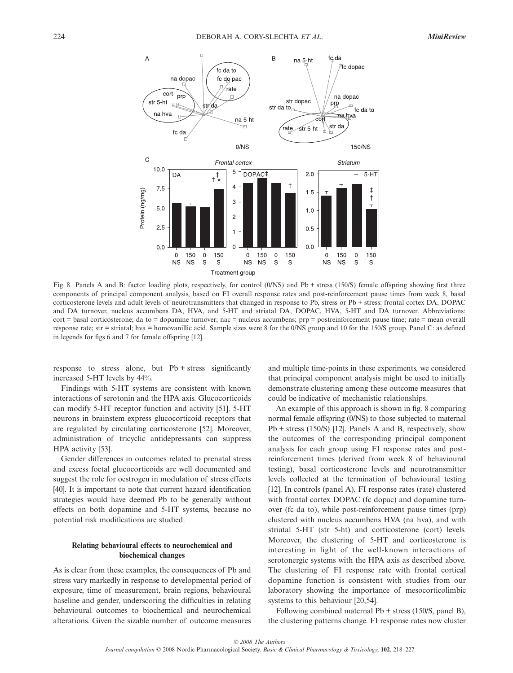

Fig. 8. Panels A and B: factor loading plots, respectively, for control (0/NS) and Pb + stress (150/S) female offspring showing first three components of principal component analysis, based on FI overall response rates and post-reinforcement pause times from week 8, basal corticosterone levels and adult levels of neurotransmitters that changed in response to Pb, stress or Pb + stress: frontal cortex DA, DOPAC and DA turnover, nucleus accumbens DA, HVA, and 5-HT and striatal DA, DOPAC, HVA, 5-HT and DA turnover. Abbreviations: cort = basal corticosterone; da to = dopamine turnover; nac = nucleus accumbens; prp = postreinforcement pause time; rate = mean overall response rate; str = striatal; hva = homovanillic acid. Sample sizes were 8 for the 0/NS group and 10 for the 150/S group. Panel C: as defined in legends for figs 6 and 7 for female offspring [12].

response to stress alone, but Pb + stress significantly increased 5-HT levels by 44%.

Findings with 5-HT systems are consistent with known interactions of serotonin and the HPA axis. Glucocorticoids can modify 5-HT receptor function and activity [51]. 5-HT neurons in brainstem express glucocorticoid receptors that are regulated by circulating corticosterone [52]. Moreover, administration of tricyclic antidepressants can suppress HPA activity [53].

Gender differences in outcomes related to prenatal stress and excess foetal glucocorticoids are well documented and suggest the role for oestrogen in modulation of stress effects [40]. It is important to note that current hazard identification strategies would have deemed Pb to be generally without effects on both dopamine and 5-HT systems, because no potential risk modifications are studied.

## **Relating behavioural effects to neurochemical and biochemical changes**

As is clear from these examples, the consequences of Pb and stress vary markedly in response to developmental period of exposure, time of measurement, brain regions, behavioural baseline and gender, underscoring the difficulties in relating behavioural outcomes to biochemical and neurochemical alterations. Given the sizable number of outcome measures

and multiple time-points in these experiments, we considered that principal component analysis might be used to initially demonstrate clustering among these outcome measures that could be indicative of mechanistic relationships.

An example of this approach is shown in fig. 8 comparing normal female offspring (0/NS) to those subjected to maternal Pb + stress (150/S) [12]. Panels A and B, respectively, show the outcomes of the corresponding principal component analysis for each group using FI response rates and postreinforcement times (derived from week 8 of behavioural testing), basal corticosterone levels and neurotransmitter levels collected at the termination of behavioural testing [12]. In controls (panel A), FI response rates (rate) clustered with frontal cortex DOPAC (fc dopac) and dopamine turnover (fc da to), while post-reinforcement pause times (prp) clustered with nucleus accumbens HVA (na hva), and with striatal 5-HT (str 5-ht) and corticosterone (cort) levels. Moreover, the clustering of 5-HT and corticosterone is interesting in light of the well-known interactions of serotonergic systems with the HPA axis as described above. The clustering of FI response rate with frontal cortical dopamine function is consistent with studies from our laboratory showing the importance of mesocorticolimbic systems to this behaviour [20,54].

Following combined maternal Pb + stress (150/S, panel B), the clustering patterns change. FI response rates now cluster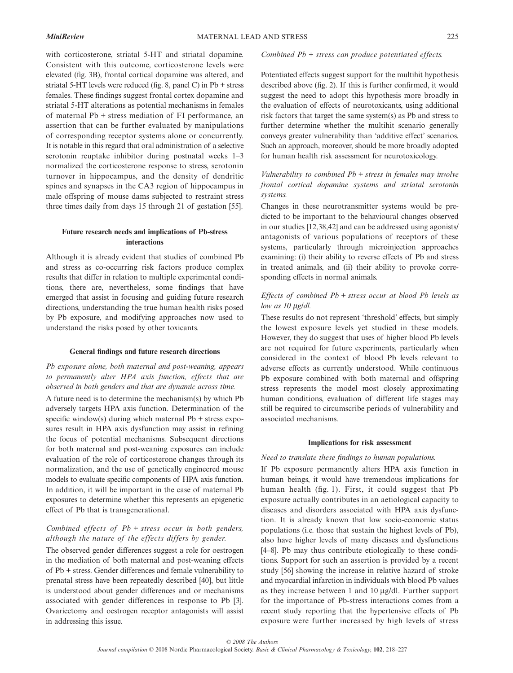with corticosterone, striatal 5-HT and striatal dopamine. Consistent with this outcome, corticosterone levels were elevated (fig. 3B), frontal cortical dopamine was altered, and striatal 5-HT levels were reduced (fig. 8, panel C) in  $Pb + stress$ females. These findings suggest frontal cortex dopamine and striatal 5-HT alterations as potential mechanisms in females of maternal Pb + stress mediation of FI performance, an assertion that can be further evaluated by manipulations of corresponding receptor systems alone or concurrently. It is notable in this regard that oral administration of a selective serotonin reuptake inhibitor during postnatal weeks 1–3 normalized the corticosterone response to stress, serotonin turnover in hippocampus, and the density of dendritic spines and synapses in the CA3 region of hippocampus in male offspring of mouse dams subjected to restraint stress three times daily from days 15 through 21 of gestation [55].

## **Future research needs and implications of Pb-stress interactions**

Although it is already evident that studies of combined Pb and stress as co-occurring risk factors produce complex results that differ in relation to multiple experimental conditions, there are, nevertheless, some findings that have emerged that assist in focusing and guiding future research directions, understanding the true human health risks posed by Pb exposure, and modifying approaches now used to understand the risks posed by other toxicants.

## **General findings and future research directions**

## *Pb exposure alone, both maternal and post-weaning, appears to permanently alter HPA axis function, effects that are observed in both genders and that are dynamic across time.*

A future need is to determine the mechanism(s) by which Pb adversely targets HPA axis function. Determination of the specific window(s) during which maternal  $Pb + stress$  exposures result in HPA axis dysfunction may assist in refining the focus of potential mechanisms. Subsequent directions for both maternal and post-weaning exposures can include evaluation of the role of corticosterone changes through its normalization, and the use of genetically engineered mouse models to evaluate specific components of HPA axis function. In addition, it will be important in the case of maternal Pb exposures to determine whether this represents an epigenetic effect of Pb that is transgenerational.

## *Combined effects of Pb + stress occur in both genders, although the nature of the effects differs by gender.*

The observed gender differences suggest a role for oestrogen in the mediation of both maternal and post-weaning effects of Pb + stress. Gender differences and female vulnerability to prenatal stress have been repeatedly described [40], but little is understood about gender differences and or mechanisms associated with gender differences in response to Pb [3]. Ovariectomy and oestrogen receptor antagonists will assist in addressing this issue.

#### *Combined Pb + stress can produce potentiated effects.*

Potentiated effects suggest support for the multihit hypothesis described above (fig. 2). If this is further confirmed, it would suggest the need to adopt this hypothesis more broadly in the evaluation of effects of neurotoxicants, using additional risk factors that target the same system(s) as Pb and stress to further determine whether the multihit scenario generally conveys greater vulnerability than 'additive effect' scenarios. Such an approach, moreover, should be more broadly adopted for human health risk assessment for neurotoxicology.

## *Vulnerability to combined Pb + stress in females may involve frontal cortical dopamine systems and striatal serotonin systems.*

Changes in these neurotransmitter systems would be predicted to be important to the behavioural changes observed in our studies [12,38,42] and can be addressed using agonists/ antagonists of various populations of receptors of these systems, particularly through microinjection approaches examining: (i) their ability to reverse effects of Pb and stress in treated animals, and (ii) their ability to provoke corresponding effects in normal animals.

## *Effects of combined Pb + stress occur at blood Pb levels as low as 10* µ*g/dl.*

These results do not represent 'threshold' effects, but simply the lowest exposure levels yet studied in these models. However, they do suggest that uses of higher blood Pb levels are not required for future experiments, particularly when considered in the context of blood Pb levels relevant to adverse effects as currently understood. While continuous Pb exposure combined with both maternal and offspring stress represents the model most closely approximating human conditions, evaluation of different life stages may still be required to circumscribe periods of vulnerability and associated mechanisms.

## **Implications for risk assessment**

## *Need to translate these findings to human populations.*

If Pb exposure permanently alters HPA axis function in human beings, it would have tremendous implications for human health (fig. 1). First, it could suggest that Pb exposure actually contributes in an aetiological capacity to diseases and disorders associated with HPA axis dysfunction. It is already known that low socio-economic status populations (i.e. those that sustain the highest levels of Pb), also have higher levels of many diseases and dysfunctions [4–8]. Pb may thus contribute etiologically to these conditions. Support for such an assertion is provided by a recent study [56] showing the increase in relative hazard of stroke and myocardial infarction in individuals with blood Pb values as they increase between 1 and 10 µg/dl. Further support for the importance of Pb-stress interactions comes from a recent study reporting that the hypertensive effects of Pb exposure were further increased by high levels of stress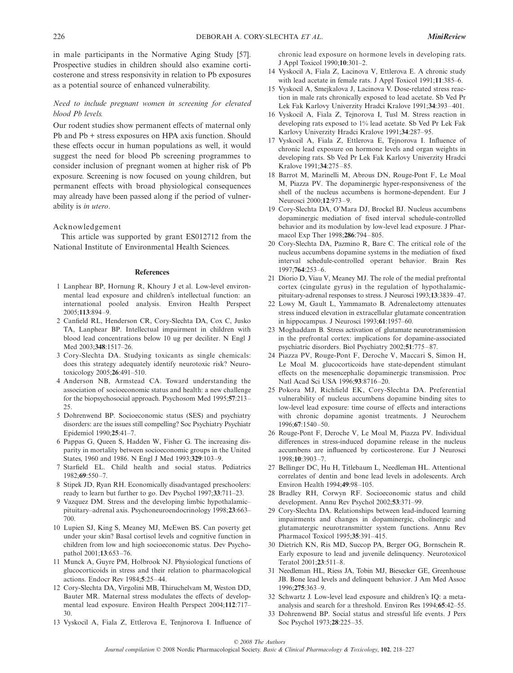in male participants in the Normative Aging Study [57]. Prospective studies in children should also examine corticosterone and stress responsivity in relation to Pb exposures as a potential source of enhanced vulnerability.

## *Need to include pregnant women in screening for elevated blood Pb levels.*

Our rodent studies show permanent effects of maternal only Pb and Pb + stress exposures on HPA axis function. Should these effects occur in human populations as well, it would suggest the need for blood Pb screening programmes to consider inclusion of pregnant women at higher risk of Pb exposure. Screening is now focused on young children, but permanent effects with broad physiological consequences may already have been passed along if the period of vulnerability is *in utero*.

## Acknowledgement

This article was supported by grant ES012712 from the National Institute of Environmental Health Sciences.

#### **References**

- 1 Lanphear BP, Hornung R, Khoury J et al. Low-level environmental lead exposure and children's intellectual function: an international pooled analysis. Environ Health Perspect 2005;**113**:894–9.
- 2 Canfield RL, Henderson CR, Cory-Slechta DA, Cox C, Jusko TA, Lanphear BP. Intellectual impairment in children with blood lead concentrations below 10 ug per deciliter. N Engl J Med 2003;**348**:1517–26.
- 3 Cory-Slechta DA. Studying toxicants as single chemicals: does this strategy adequately identify neurotoxic risk? Neurotoxicology 2005;**26**:491–510.
- 4 Anderson NB, Armstead CA. Toward understanding the association of socioeconomic status and health: a new challenge for the biopsychosocial approach. Psychosom Med 1995;**57**:213– 25.
- 5 Dohrenwend BP. Socioeconomic status (SES) and psychiatry disorders: are the issues still compelling? Soc Psychiatry Psychiatr Epidemiol 1990;**25**:41–7.
- 6 Pappas G, Queen S, Hadden W, Fisher G. The increasing disparity in mortality between socioeconomic groups in the United States, 1960 and 1986. N Engl J Med 1993;**329**:103–9.
- 7 Starfield EL. Child health and social status. Pediatrics 1982;**69**:550–7.
- 8 Stipek JD, Ryan RH. Economically disadvantaged preschoolers: ready to learn but further to go. Dev Psychol 1997;**33**:711–23.
- 9 Vazquez DM. Stress and the developing limbic hypothalamic– pituitary–adrenal axis. Psychoneuroendocrinology 1998;**23**:663– 700.
- 10 Lupien SJ, King S, Meaney MJ, McEwen BS. Can poverty get under your skin? Basal cortisol levels and cognitive function in children from low and high socioeconomic status. Dev Psychopathol 2001;**13**:653–76.
- 11 Munck A, Guyre PM, Holbrook NJ. Physiological functions of glucocorticoids in stress and their relation to pharmacological actions. Endocr Rev 1984;**5**:25–44.
- 12 Cory-Slechta DA, Virgolini MB, Thiruchelvam M, Weston DD, Bauter MR. Maternal stress modulates the effects of developmental lead exposure. Environ Health Perspect 2004;**112**:717– 30.
- 13 Vyskocil A, Fiala Z, Ettlerova E, Tenjnorova I. Influence of

chronic lead exposure on hormone levels in developing rats. J Appl Toxicol 1990;**10**:301–2.

- 14 Vyskocil A, Fiala Z, Lacinova V, Ettlerova E. A chronic study with lead acetate in female rats. J Appl Toxicol 1991;**11**:385–6.
- 15 Vyskocil A, Smejkalova J, Lacinova V. Dose-related stress reaction in male rats chronically exposed to lead acetate. Sb Ved Pr Lek Fak Karlovy Univerzity Hradci Kralove 1991;**34**:393–401.
- 16 Vyskocil A, Fiala Z, Tejnorova I, Tusl M. Stress reaction in developing rats exposed to 1% lead acetate. Sb Ved Pr Lek Fak Karlovy Univerzity Hradci Kralove 1991;**34**:287–95.
- 17 Vyskocil A, Fiala Z, Ettlerova E, Tejnorova I. Influence of chronic lead exposure on hormone levels and organ weights in developing rats. Sb Ved Pr Lek Fak Karlovy Univerzity Hradci Kralove 1991;**34**:275–85.
- 18 Barrot M, Marinelli M, Abrous DN, Rouge-Pont F, Le Moal M, Piazza PV. The dopaminergic hyper-responsiveness of the shell of the nucleus accumbens is hormone-dependent. Eur J Neurosci 2000;**12**:973–9.
- 19 Cory-Slechta DA, O'Mara DJ, Brockel BJ. Nucleus accumbens dopaminergic mediation of fixed interval schedule-controlled behavior and its modulation by low-level lead exposure. J Pharmacol Exp Ther 1998;**286**:794–805.
- 20 Cory-Slechta DA, Pazmino R, Bare C. The critical role of the nucleus accumbens dopamine systems in the mediation of fixed interval schedule-controlled operant behavior. Brain Res 1997;**764**:253–6.
- 21 Diorio D, Viau V, Meaney MJ. The role of the medial prefrontal cortex (cingulate gyrus) in the regulation of hypothalamicpituitary-adrenal responses to stress. J Neurosci 1993;**13**:3839–47.
- 22 Lowy M, Gault L, Yammamato B. Adrenalectomy attenuates stress induced elevation in extracellular glutamate concentration in hippocampus. J Neurosci 1993;**61**:1957–60.
- 23 Moghaddam B. Stress activation of glutamate neurotransmission in the prefrontal cortex: implications for dopamine-associated psychiatric disorders. Biol Psychiatry 2002;**51**:775–87.
- 24 Piazza PV, Rouge-Pont F, Deroche V, Maccari S, Simon H, Le Moal M. glucocorticoids have state-dependent stimulant effects on the mesencephalic dopaminergic transmission. Proc Natl Acad Sci USA 1996;**93**:8716–20.
- 25 Pokora MJ, Richfield EK, Cory-Slechta DA. Preferential vulnerability of nucleus accumbens dopamine binding sites to low-level lead exposure: time course of effects and interactions with chronic dopamine agonist treatments. J Neurochem 1996;**67**:1540–50.
- 26 Rouge-Pont F, Deroche V, Le Moal M, Piazza PV. Individual differences in stress-induced dopamine release in the nucleus accumbens are influenced by corticosterone. Eur J Neurosci 1998;**10**:3903–7.
- 27 Bellinger DC, Hu H, Titlebaum L, Needleman HL. Attentional correlates of dentin and bone lead levels in adolescents. Arch Environ Health 1994;**49**:98–105.
- 28 Bradley RH, Corwyn RF. Socioeconomic status and child development. Annu Rev Psychol 2002;**53**:371–99.
- 29 Cory-Slechta DA. Relationships between lead-induced learning impairments and changes in dopaminergic, cholinergic and glutamatergic neurotransmitter system functions. Annu Rev Pharmacol Toxicol 1995;**35**:391–415.
- 30 Dietrich KN, Ris MD, Succop PA, Berger OG, Bornschein R. Early exposure to lead and juvenile delinquency. Neurotoxicol Teratol 2001;**23**:511–8.
- 31 Needleman HL, Riess JA, Tobin MJ, Biesecker GE, Greenhouse JB. Bone lead levels and delinquent behavior. J Am Med Assoc 1996;**275**:363–9.
- 32 Schwartz J. Low-level lead exposure and children's IQ: a metaanalysis and search for a threshold. Environ Res 1994;**65**:42–55.
- 33 Dohrenwend BP. Social status and stressful life events. J Pers Soc Psychol 1973;**28**:225–35.